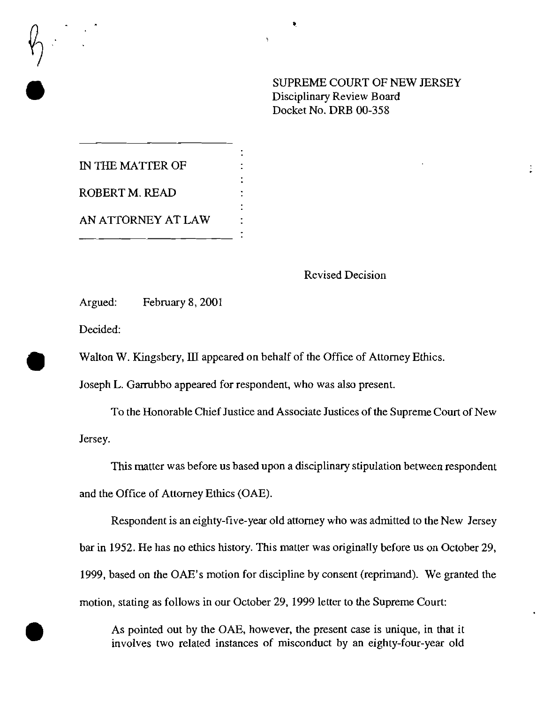SUPREME COURT OF NEW JERSEY<br>Disciplinary Review Board<br>Docket No. DRB 00-358 Disciplinary Review Board Docket No. DRB 00-358

•

IN THE MATTER OF ROBERT M. READ AN ATTORNEY AT LAW

## Revised Decision

Argued: February 8, 2001

Decided:

Walton W. Kingsbery, III appeared on behalf of the Office of Attorney Ethics.

Joseph L. Garrubbo appeared for respondent, who was also present.

To the Honorable Chief Justice and Associate Justices of the Supreme Court of New Jersey.

This matter was before us based upon a disciplinary stipulation between respondent and the Office of Attorney Ethics (OAE).

Respondent is an eighty-frve-year old attorney who was admitted to the New Jersey bar in 1952. He has no ethics history. This matter was originally before us on October 29, 1999, based on the OAE's motion for discipline by consent (reprimand). We granted the motion, stating as follows in our October 29, 1999 letter to the Supreme Court:

As pointed out by the OAE, however, the present case is unique, in that it<br>involves two related instances of misconduct by an eighty-four-year old involves two related instances of misconduct by an eighty-four-year old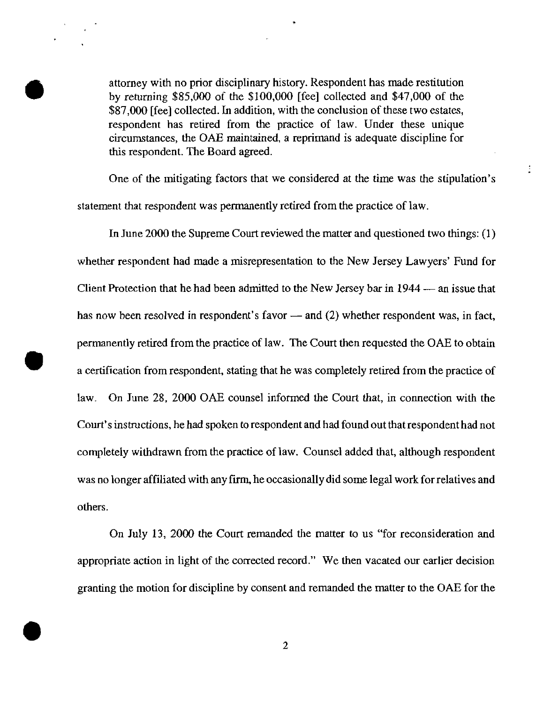attorney with no prior disciplinary history. Respondent has made restitution<br>by returning \$85,000 of the \$100,000 [fee] collected and \$47,000 of the<br>\$87,000 [fee] collected. In addition, with the conclusion of these two es by returning \$85,000 of the \$100,000 [fee] collected and \$47,000 of the \$87,000 [fee] collected. In addition, with the conclusion of these two estates, respondent has retired from the practice of law. Under these unique circumstances, the *OAB* maintained, a reprimand is adequate discipline for this respondent. The Board agreed.

•

One of the mitigating factors that we considered at the time was the stipulation's statement that respondent was permanently retired from the practice of law.

 $\ddot{\ddot{\phantom{}}\phantom{}}$ 

In June *2000* the Supreme Court reviewed the matter and questioned two things: (l) whether respondent had made a misrepresentation to the New Jersey Lawyers' Fund for Client Protection that he had been admitted to the New Jersey bar in 1944 - an issue that has now been resolved in respondent's favor  $-$  and (2) whether respondent was, in fact, permanently retired from the practice of law. The Court then requested the OAE to obtain a certification from respondent, stating that he was completely retired from the practice of law. On June 28, 2000 OAE counsel informed the Court that, in connection with the Court's instructions, he had spoken to respondent and had found out that respondent had not completely withdrawn from the practice of law. Counsel added that, although respondent was no longer affiliated with any firm, he occasionally did some legal work for relatives and others.

•

On July 13, 2000 the Court remanded the matter to us "for reconsideration and appropriate action in light of the corrected record." We then vacated our earlier decision granting the motion for discipline by consent and remanded the matter to the OAE for the

 $\bullet$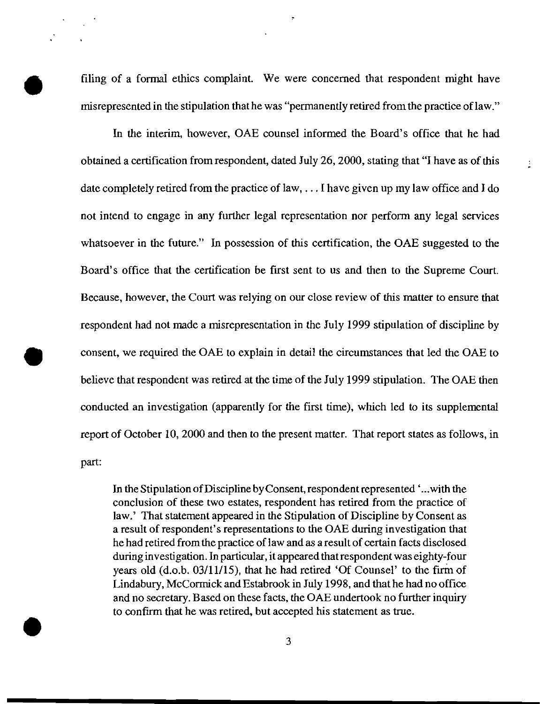filing of a formal ethics complaint. We were concerned that respondent might have misrepresented in the stipulation that he was "permanently retired from the practice of law."

÷

In the interim, however, OAE counsel informed the Board's office that he had obtained a certification from respondent, dated July 26, 2000, stating that "I have as of this date completely retired from the practice of law, ... I have given up my law office and I do not intend to engage in any further legal representation nor perform any legal services whatsoever in the future." In possession of this certification, the OAE suggested to the Board's office that the certification be first sent to us and then to the Supreme Court. Because, however, the Court was relying on our close review of this matter to ensure that respondent had not made a misrepresentation in the July 1999 stipulation of discipline by consent, we required the OAE to explain in detail the circumstances that led the OAE to believe that respondent was retired at the time of the July 1999 stipulation. The OAE then conducted an investigation (apparently for the first time), which led to its supplemental report of October 10, 2000 and then to the present matter. That report states as follows, in part:

In the Stipulation of Discipline by Consent, respondent represented '...with the conclusion of these two estates, respondent has retired from the practice of law.' That statement appeared in the Stipulation of Discipline by Consent as a result of respondent's representations to the OAE during investigation that he had retired from the practice of law and as a result of certain facts disclosed during investigation. In particular, it appeared that respondent was eighty-four years old (d.o.b. 03/11/15), that he had retired 'Of Counsel' to the firm of Lindabury, McCormick and Estabrook in July 1998, and that he had no office and no secretary. Based on these facts, the OAE undertook no further inquiry to confirm that he was retired, but accepted his statement as true.

3

•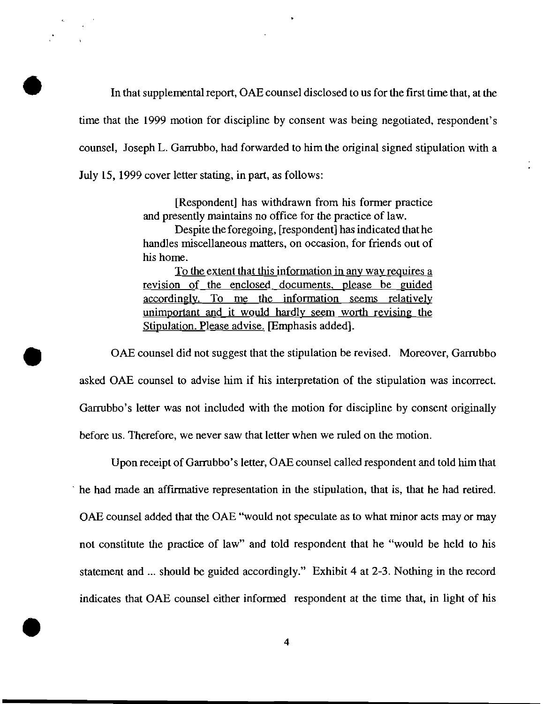In that supplemental report, OAE counsel disclosed to us for the first time that, at the time that the 1999 motion for discipline by consent was being negotiated, respondent's counsel, Joseph L. Garrubbo, had forwarded to him the original signed stipulation with a July 15, 1999 cover letter stating, in part, as follows:

> [Respondent] has withdrawn from his former practice and presently maintains no office for the practice of law.

> Despite the foregoing, [respondent] has indicated that he handles miscellaneous matters, on occasion, for friends out of his home.

> To the extent that this information in any way requires a revision of the enclosed documents. please be guided accordingly. To me the information seems relatively unimportant and it would hardly seem worth revising the Stipulation. Please advise. [Emphasis added].

OAE counsel did not suggest that the stipulation be revised. Moreover, Garrubbo asked OAE counsel to advise him if his interpretation of the stipulation was incorrect. Garrubbo's letter was not included with the motion for discipline by consent originally before us. Therefore, we never saw that letter when we ruled on the motion.

Upon receipt of Garrubbo's letter, GAE counsel called respondent and told him that he had made an affirmative representation in the stipulation, that is, that he had retired. GAE counsel added that the GAE "would not speculate as to what minor acts mayor may not constitute the practice of law" and told respondent that he "would be held to his statement and ... should be guided accordingly." Exhibit 4 at 2-3. Nothing in the record indicates that GAE counsel either informed respondent at the time that, in light of his and the counsel entity informed 4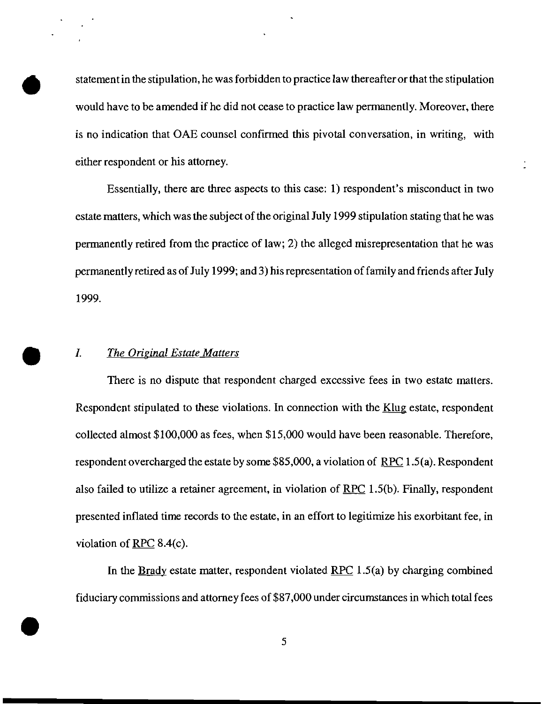statement in the stipulation, he was forbidden to practice law thereafter or that the stipulation would have to be amended if he did not cease to practice law permanently. Moreover, there is no indication that OAE counsel confirmed this pivotal conversation, in writing, with either respondent or his attorney.

Essentially, there are three aspects to this case: 1) respondent's misconduct in two estate matters, which was the subject of the original July 1999 stipulation stating that he was permanently retired from the practice of law; 2) the alleged misrepresentation that he was permanently retired as of July 1999; and 3) his representation of family and friends after July 1999.

I. The Original Estate Matters<br>There is no dispute that respondent charged excessive fees in two estate matters. Respondent stipulated to these violations. In connection with the Klug estate, respondent collected almost \$100,000 as fees, when \$15,000 would have been reasonable. Therefore, respondent overcharged the estate by some \$85,000, a violation of RPC 1.5(a). Respondent also failed to utilize a retainer agreement, in violation of RPC 1.5(b). Finally, respondent presented inflated time records to the estate, in an effort to legitimize his exorbitant fee, in violation of RPC 8.4(c).

In the Brady estate matter, respondent violated RPC  $1.5(a)$  by charging combined fiduciary commissions and attorney fees of \$87,000 under circumstances in which total fees  $\frac{1}{2}$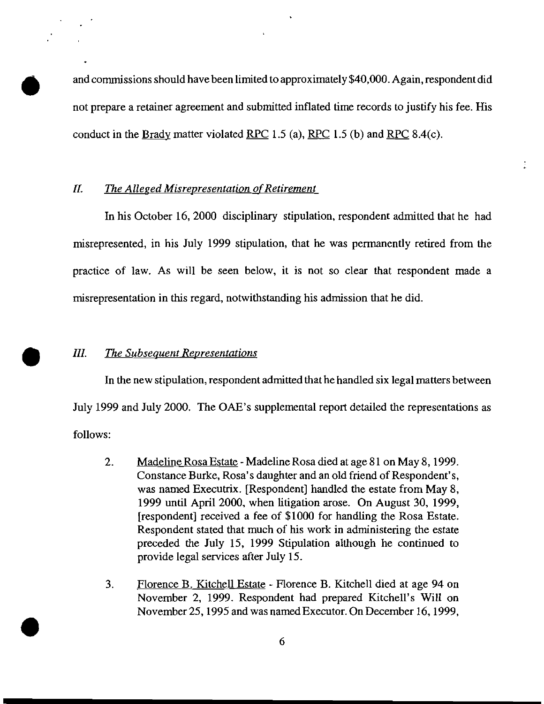• and commissions should have been limited to approximately \$40,000. Again, respondent did not prepare a retainer agreement and submitted inflated time records to justify his fee. His conduct in the Brady matter violated RPC 1.5 (a), RPC 1.5 (b) and RPC 8.4(c).

## II. The Alleged Misrepresentation of Retirement

In his October 16, 2000 disciplinary stipulation, respondent admitted that he had misrepresented, in his July 1999 stipulation, that he was permanently retired from the practice of law. As will be seen below, it is not so clear that respondent made a misrepresentation in this regard, notwithstanding his admission that he did.

•

*III.* The Subsequent Representations<br>In the new stipulation, respondent In the new stipulation, respondent admitted that he handled six legal matters between July 1999 and July 2000. The OAE's supplemental report detailed the representations as follows:

- 2. Madeline Rosa Estate Madeline Rosa died at age 81 on May 8, 1999. Constance Burke, Rosa's daughter and an old friend of Respondent's, was named Executrix. [Respondent] handled the estate from May 8, 1999 until April 2000, when litigation arose. On August 30, 1999, [respondent] received a fee of \$1000 for handling the Rosa Estate. Respondent stated that much of his work in administering the estate preceded the July 15, 1999 Stipulation although he continued to provide legal services after July 15.
- 3. Florence B. Kitchell Estate Florence B. Kitchell died at age 94 on November 2, 1999. Respondent had prepared Kitchell's Will on November 25, 1995 and was named Executor. On December 16,1999,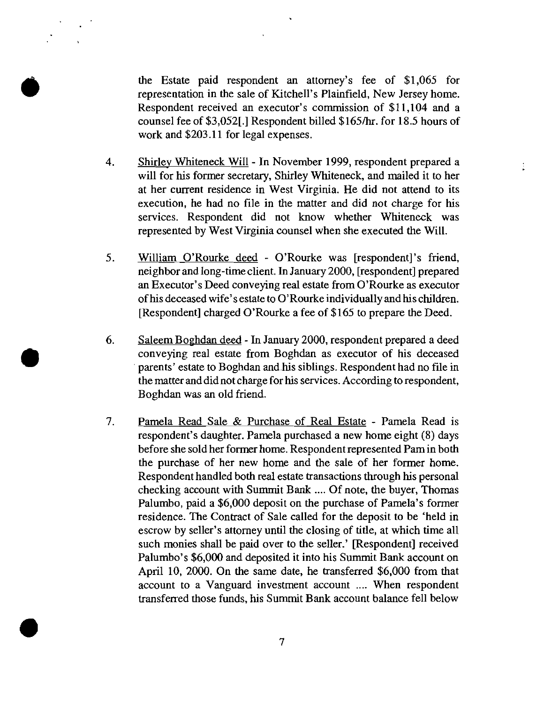the Estate paid respondent an attorney's fee of \$1,065 for<br>representation in the sale of Kitchell's Plainfield, New Jersey home.<br>Respondent received an executor's commission of \$11,104 and a<br>counsel fee of \$3.0521.1 Respon representation in the sale of Kitchell's Plainfield, New Jersey home. Respondent received an executor's commission of \$11,104 and a counsel fee of \$3,052[.] Respondent billed \$165/hr. for 18.5 hours of work and \$203.11 for legal expenses.

- 4. Shirley Whiteneck Will In November 1999, respondent prepared a will for his former secretary, Shirley Whiteneck, and mailed it to her at her current residence in West Virginia. He did not attend to its execution, he had no file in the matter and did not charge for his services. Respondent did not know whether Whiteneck was represented by West Virginia counsel when she executed the Will.
- 5. William O'Rourke deed O'Rourke was [respondent]'s friend, neighbor and long-time client. InJanuary 2000, [respondent] prepared an Executor's Deed conveying real estate from O'Rourke as executor ofhis deceased wife's estate to O'Rourke individuallyand his children. [Respondent] charged O'Rourke a fee of \$165 to prepare the Deed.
- 6. Saleem Boghdan deed In January 2000, respondent prepared a deed conveying real estate from Boghdan as executor of his deceased . parents' estate to Boghdan and.his siblings. Respondent had no file in the matter and did not charge for his services. According to respondent, Boghdan was an old friend.

• 

7. Pamela Read Sale & Purchase of Real Estate - Pamela Read is respondent's daughter. Pamela purchased a new home eight (8) days before she sold her former home. Respondent represented Pamin both the purchase of her new home and the sale of her former home. Respondent handled both real estate transactions through his personal checking account with Summit Bank .... Of note, the buyer, Thomas Palumbo, paid a \$6,000 deposit on the purchase of Pamela's former residence. The Contract of Sale called for the deposit to be 'held in escrow by seller's attorney until the closing of title, at which time all such monies shall be paid over to the seller.' [Respondent] received Palumbo's \$6,000 and deposited it into his Summit Bank account on April 10, 2000. On the same date, he transferred \$6,000 from that account to a Vanguard investment account .... When respondent transferred those funds, his Summit Bank account balance fell below • 7

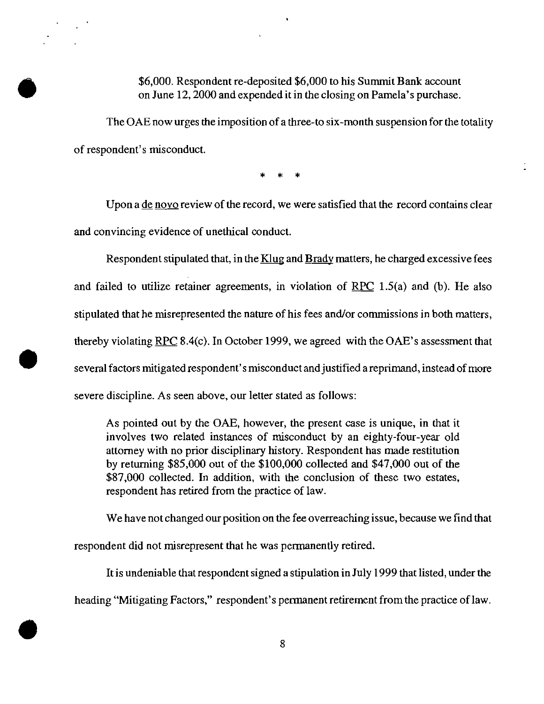# \$6,000. Respondent re-deposited \$6,000 to his Summit Bank account<br>on June 12, 2000 and expended it in the closing on Pamela's purchase.<br>The OAE now urges the imposition of a three-to six-month suspension for the t on June 12, 2000 and expended it in the closing on Pamela's purchase.

The OAE now urges the imposition of a three-to six-month suspension for the totality of respondent's misconduct.

\* \* \*

Upon a de novo review of the record, we were satisfied that the record contains clear and convincing evidence of unethical conduct.

Respondent stipulated that, in the Klug and Brady matters, he charged excessive fees and failed to utilize retainer agreements, in violation of  $RPC$  1.5(a) and (b). He also stipulated that he misrepresented the nature of his fees and/or commissions in both matters, thereby violating RPC 8.4(c). In October 1999, we agreed with the OAE's assessment that several factors mitigated respondent's misconduct and justified a reprimand, instead of more severe discipline. As seen above, our letter stated as follows:

As pointed out by the OAE, however, the present case is unique, in that it involves two related instances of misconduct by an eighty-four-year old attorney with no prior disciplinary history. Respondent has made restitution by returning \$85,000 out of the \$100,000 collected and \$47,000 out of the \$87,000 collected. In addition, with the conclusion of these two estates, respondent has retired from the practice of law.

We have not changed our position on the fee overreaching issue, because we find that

respondent did not misrepresent that he was permanently retired.

•

It is undeniable that respondent signed a stipulation in July 1999 that listed, under the heading "Mitigating Factors," respondent's permanent retirement from the practice of law. Francis Antigating Patrick, Reported by P.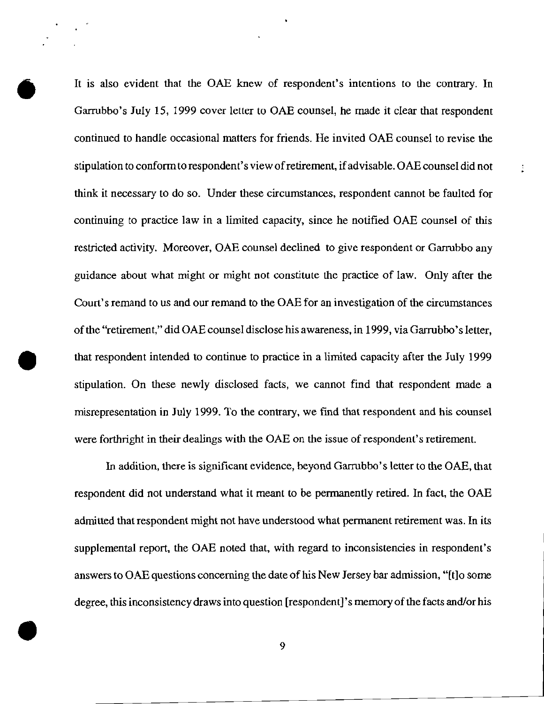It is also evident that the OAE knew of respondent's intentions to the contrary. In Garrubbo's July 15, 1999 cover letter to OAE counsel, he made it clear that respondent continued to handle occasional matters for friends. He invited OAE counsel to revise the stipulation to conform to respondent's view of retirement, if advisable. OAE counsel did not think it necessary to do so. Under these circumstances, respondent cannot be faulted for continuing to practice law in a limited capacity, since he notified OAE counsel of this restricted activity. Moreover, OAE counsel declined to give respondent or Garrubbo any guidance about what might or might not constitute the practice of law. Only after the Court's remand to us and our remand to the OAB for an investigation of the circumstances ofthe "retirement," did OAB counsel disclose his awareness, in 1999, via Garrubbo'sletter, that respondent intended to continue to practice in a limited capacity after the July 1999 stipulation. On these newly disclosed facts, we cannot find that respondent made a misrepresentation in July 1999. To the contrary, we find that respondent and his counsel were forthright in their dealings with the OAE on the issue of respondent's retirement.

In addition, there is significant evidence, beyond Garrubbo's letter to the OAE, that respondent did not understand what it meant to be permanently retired. In fact, the OAB admitted that respondent might not have understood what permanent retirement was. In its supplemental report, the OAE noted that, with regard to inconsistencies in respondent's answers to OAE questions concerning the date of his New Jersey bar admission, "[t]o some degree, this inconsistency draws into question [respondent]'s memory of the facts and/or his expect, and inconsistency draws mediation (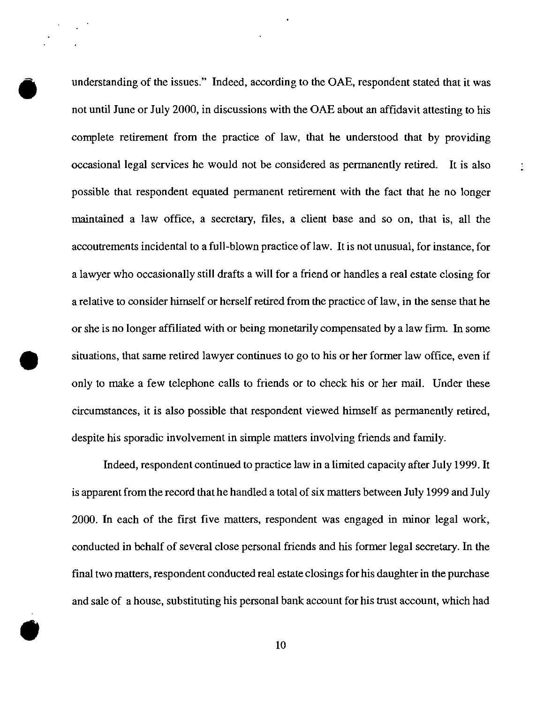understanding of the issues." Indeed, according to the OAB, respondent stated that it was not until June or July 2000, in discussions with the OAE about an affidavit attesting to his complete retirement from the practice of law, that he understood that by providing occasional legal services he would not be considered as permanently retired. **It** is also possible that respondent equated permanent retirement with the fact that he no longer maintained a law office, a secretary, files, a client base and so on, that is, all the accoutrements incidental to a full-blown practice of law. **It** is not unusual, for instance, for a lawyer who occasionally still drafts a will for a friend or handles a real estate closing for a relative to consider himself or herself retired from the practice of law, in the sense that he or she is no longer affiliated with or being monetarily compensated by a law firm. In some situations, that same retired lawyer continues to go to his or her former law office, even if only to make a few telephone calls to friends or to check his or her mail. Under these circumstances, it is also possible that respondent viewed himself as permanently retired, despite his sporadic involvement in simple matters involving friends and family.

÷.

Indeed, respondent continued to practice law in a limited capacity after July 1999. **It**  is apparent from the record that he handled a total of six matters between July 1999 and July 2000. In each of the first five matters, respondent was engaged in minor legal work, conducted in behalf of several close personal friends and his former legal secretary. In the final two matters, respondent conducted real estate closings for his daughter in the purchase and sale of a house, substituting his personal bank account for his trust account, which had • 10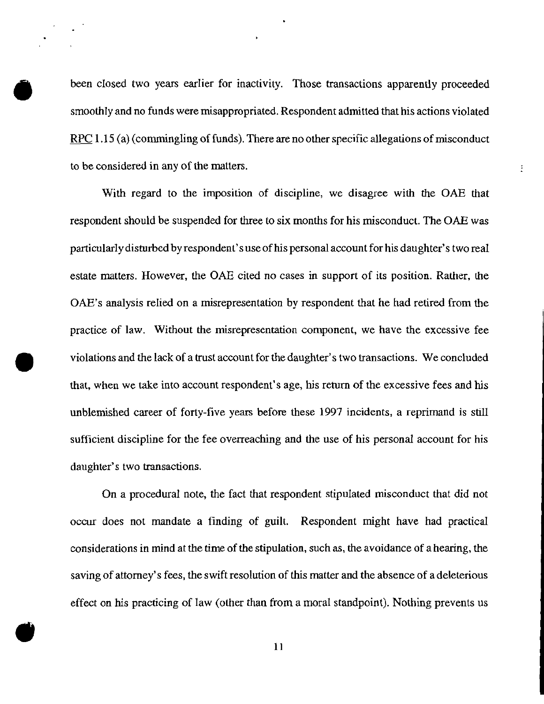been closed two years earlier for inactivity. Those transactions apparently proceeded smoothly and no funds were misappropriated. Respondent admitted that his actions violated RPC 1.15 (a) (commingling of funds). There are no other specific allegations of misconduct to be considered in any of the matters.

Ť.

With regard to the imposition of discipline, we disagree with the OAE that respondent should be suspended for three to six months for his misconduct. The OAE was particularlydisturbed by respondent's use of his personal accountfor his daughter's two real estate matters. However, the OAE cited no cases in support of its position. Rather, the OAE's analysis relied on a misrepresentation by respondent that he had retired from the practice of law. Without the misrepresentation component, we have the excessive fee violations and the lack of a trust account for the daughter's two transactions. We concluded that, when we take into account respondent's age, his return of the excessive fees and his unblemished career of forty-five years before these 1997 incidents, a reprimand is still sufficient discipline for the fee overreaching and the use of his personal account for his daughter's two transactions.

On a procedural note, the fact that respondent stipulated misconduct that did not occur does not mandate a finding of guilt. Respondent might have had practical considerations in mind at the time of the stipulation, such as, the avoidance of a hearing, the saving of attorney's fees, the swift resolution of this matter and the absence of a deleterious effect on his practicing of law (other than from a moral standpoint). Nothing prevents us • 11